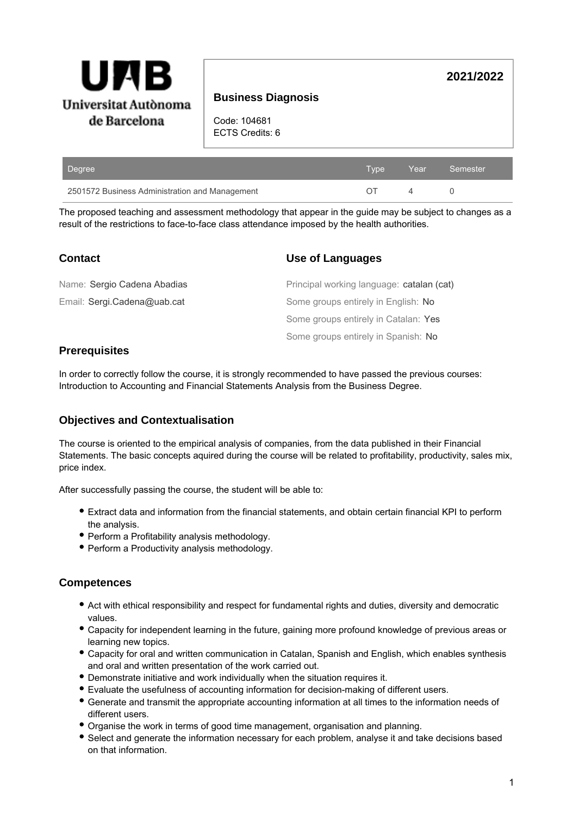

# **Business Diagnosis**

Code: 104681 ECTS Credits: 6

| Degree                                         | Type | Year Semester |
|------------------------------------------------|------|---------------|
| 2501572 Business Administration and Management |      |               |

The proposed teaching and assessment methodology that appear in the guide may be subject to changes as a result of the restrictions to face-to-face class attendance imposed by the health authorities.

| <b>Contact</b>              | Use of Languages                          |
|-----------------------------|-------------------------------------------|
| Name: Sergio Cadena Abadias | Principal working language: catalan (cat) |
| Email: Sergi.Cadena@uab.cat | Some groups entirely in English: No       |
|                             | Some groups entirely in Catalan: Yes      |
|                             | Some groups entirely in Spanish: No       |

# **Prerequisites**

In order to correctly follow the course, it is strongly recommended to have passed the previous courses: Introduction to Accounting and Financial Statements Analysis from the Business Degree.

## **Objectives and Contextualisation**

The course is oriented to the empirical analysis of companies, from the data published in their Financial Statements. The basic concepts aquired during the course will be related to profitability, productivity, sales mix, price index.

After successfully passing the course, the student will be able to:

- Extract data and information from the financial statements, and obtain certain financial KPI to perform the analysis.
- Perform a Profitability analysis methodology.
- Perform a Productivity analysis methodology.

## **Competences**

- Act with ethical responsibility and respect for fundamental rights and duties, diversity and democratic values.
- Capacity for independent learning in the future, gaining more profound knowledge of previous areas or learning new topics.
- Capacity for oral and written communication in Catalan, Spanish and English, which enables synthesis and oral and written presentation of the work carried out.
- Demonstrate initiative and work individually when the situation requires it.
- Evaluate the usefulness of accounting information for decision-making of different users.
- Generate and transmit the appropriate accounting information at all times to the information needs of different users.
- Organise the work in terms of good time management, organisation and planning.
- Select and generate the information necessary for each problem, analyse it and take decisions based on that information.

**2021/2022**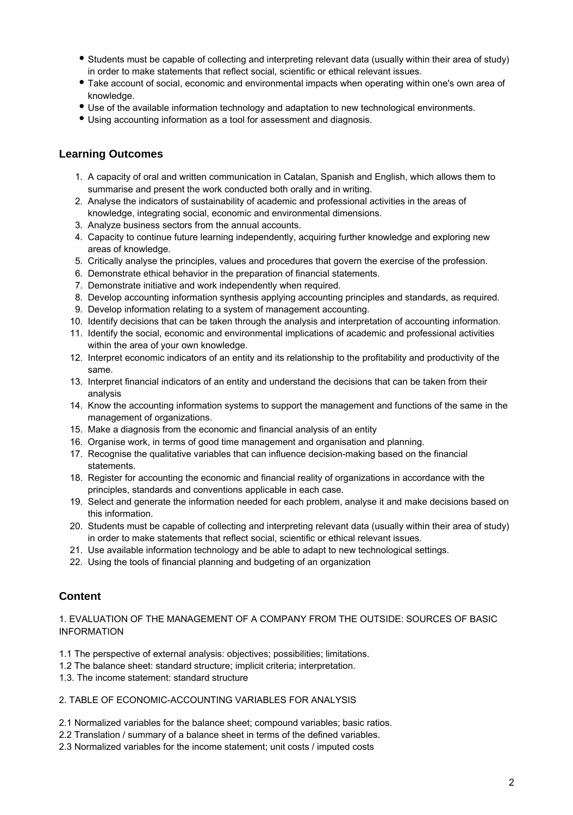- Students must be capable of collecting and interpreting relevant data (usually within their area of study) in order to make statements that reflect social, scientific or ethical relevant issues.
- Take account of social, economic and environmental impacts when operating within one's own area of knowledge.
- Use of the available information technology and adaptation to new technological environments.
- Using accounting information as a tool for assessment and diagnosis.

## **Learning Outcomes**

- 1. A capacity of oral and written communication in Catalan, Spanish and English, which allows them to summarise and present the work conducted both orally and in writing.
- 2. Analyse the indicators of sustainability of academic and professional activities in the areas of knowledge, integrating social, economic and environmental dimensions.
- 3. Analyze business sectors from the annual accounts.
- 4. Capacity to continue future learning independently, acquiring further knowledge and exploring new areas of knowledge.
- 5. Critically analyse the principles, values and procedures that govern the exercise of the profession.
- 6. Demonstrate ethical behavior in the preparation of financial statements.
- 7. Demonstrate initiative and work independently when required.
- 8. Develop accounting information synthesis applying accounting principles and standards, as required.
- 9. Develop information relating to a system of management accounting.
- 10. Identify decisions that can be taken through the analysis and interpretation of accounting information.
- 11. Identify the social, economic and environmental implications of academic and professional activities within the area of your own knowledge.
- 12. Interpret economic indicators of an entity and its relationship to the profitability and productivity of the same.
- 13. Interpret financial indicators of an entity and understand the decisions that can be taken from their analysis
- 14. Know the accounting information systems to support the management and functions of the same in the management of organizations.
- 15. Make a diagnosis from the economic and financial analysis of an entity
- 16. Organise work, in terms of good time management and organisation and planning.
- 17. Recognise the qualitative variables that can influence decision-making based on the financial statements.
- 18. Register for accounting the economic and financial reality of organizations in accordance with the principles, standards and conventions applicable in each case.
- 19. Select and generate the information needed for each problem, analyse it and make decisions based on this information.
- 20. Students must be capable of collecting and interpreting relevant data (usually within their area of study) in order to make statements that reflect social, scientific or ethical relevant issues.
- 21. Use available information technology and be able to adapt to new technological settings.
- 22. Using the tools of financial planning and budgeting of an organization

## **Content**

### 1. EVALUATION OF THE MANAGEMENT OF A COMPANY FROM THE OUTSIDE: SOURCES OF BASIC INFORMATION

- 1.1 The perspective of external analysis: objectives; possibilities; limitations.
- 1.2 The balance sheet: standard structure; implicit criteria; interpretation.
- 1.3. The income statement: standard structure

### 2. TABLE OF ECONOMIC-ACCOUNTING VARIABLES FOR ANALYSIS

- 2.1 Normalized variables for the balance sheet; compound variables; basic ratios.
- 2.2 Translation / summary of a balance sheet in terms of the defined variables.
- 2.3 Normalized variables for the income statement; unit costs / imputed costs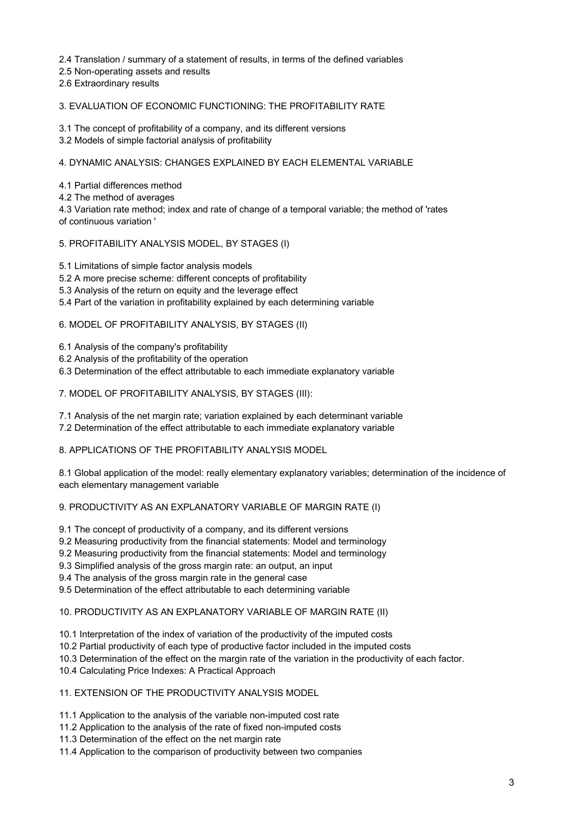2.4 Translation / summary of a statement of results, in terms of the defined variables

- 2.5 Non-operating assets and results
- 2.6 Extraordinary results

#### 3. EVALUATION OF ECONOMIC FUNCTIONING: THE PROFITABILITY RATE

3.1 The concept of profitability of a company, and its different versions

3.2 Models of simple factorial analysis of profitability

#### 4. DYNAMIC ANALYSIS: CHANGES EXPLAINED BY EACH ELEMENTAL VARIABLE

4.1 Partial differences method

4.2 The method of averages

4.3 Variation rate method; index and rate of change of a temporal variable; the method of 'rates of continuous variation '

#### 5. PROFITABILITY ANALYSIS MODEL, BY STAGES (I)

5.1 Limitations of simple factor analysis models

5.2 A more precise scheme: different concepts of profitability

- 5.3 Analysis of the return on equity and the leverage effect
- 5.4 Part of the variation in profitability explained by each determining variable

#### 6. MODEL OF PROFITABILITY ANALYSIS, BY STAGES (II)

6.1 Analysis of the company's profitability

- 6.2 Analysis of the profitability of the operation
- 6.3 Determination of the effect attributable to each immediate explanatory variable

#### 7. MODEL OF PROFITABILITY ANALYSIS, BY STAGES (III):

7.1 Analysis of the net margin rate; variation explained by each determinant variable

7.2 Determination of the effect attributable to each immediate explanatory variable

### 8. APPLICATIONS OF THE PROFITABILITY ANALYSIS MODEL

8.1 Global application of the model: really elementary explanatory variables; determination of the incidence of each elementary management variable

### 9. PRODUCTIVITY AS AN EXPLANATORY VARIABLE OF MARGIN RATE (I)

9.1 The concept of productivity of a company, and its different versions

- 9.2 Measuring productivity from the financial statements: Model and terminology
- 9.2 Measuring productivity from the financial statements: Model and terminology
- 9.3 Simplified analysis of the gross margin rate: an output, an input

9.4 The analysis of the gross margin rate in the general case

9.5 Determination of the effect attributable to each determining variable

### 10. PRODUCTIVITY AS AN EXPLANATORY VARIABLE OF MARGIN RATE (II)

10.1 Interpretation of the index of variation of the productivity of the imputed costs

10.2 Partial productivity of each type of productive factor included in the imputed costs

- 10.3 Determination of the effect on the margin rate of the variation in the productivity of each factor.
- 10.4 Calculating Price Indexes: A Practical Approach

#### 11. EXTENSION OF THE PRODUCTIVITY ANALYSIS MODEL

11.1 Application to the analysis of the variable non-imputed cost rate

11.2 Application to the analysis of the rate of fixed non-imputed costs

11.3 Determination of the effect on the net margin rate

11.4 Application to the comparison of productivity between two companies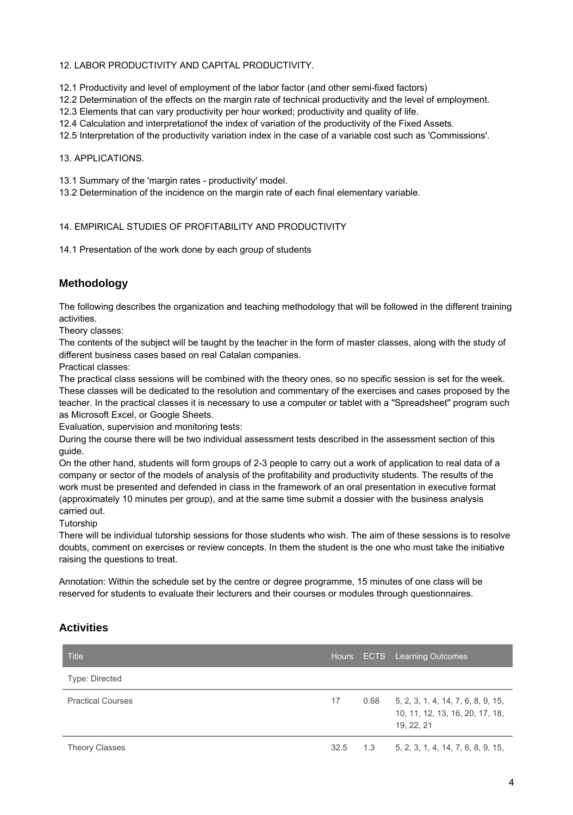### 12. LABOR PRODUCTIVITY AND CAPITAL PRODUCTIVITY.

12.1 Productivity and level of employment of the labor factor (and other semi-fixed factors)

12.2 Determination of the effects on the margin rate of technical productivity and the level of employment.

12.3 Elements that can vary productivity per hour worked; productivity and quality of life.

12.4 Calculation and interpretationof the index of variation of the productivity of the Fixed Assets.

12.5 Interpretation of the productivity variation index in the case of a variable cost such as 'Commissions'.

#### 13. APPLICATIONS.

13.1 Summary of the 'margin rates - productivity' model.

13.2 Determination of the incidence on the margin rate of each final elementary variable.

#### 14. EMPIRICAL STUDIES OF PROFITABILITY AND PRODUCTIVITY

14.1 Presentation of the work done by each group of students

# **Methodology**

The following describes the organization and teaching methodology that will be followed in the different training activities.

Theory classes:

The contents of the subject will be taught by the teacher in the form of master classes, along with the study of different business cases based on real Catalan companies.

Practical classes:

The practical class sessions will be combined with the theory ones, so no specific session is set for the week. These classes will be dedicated to the resolution and commentary of the exercises and cases proposed by the teacher. In the practical classes it is necessary to use a computer or tablet with a "Spreadsheet" program such as Microsoft Excel, or Google Sheets.

Evaluation, supervision and monitoring tests:

During the course there will be two individual assessment tests described in the assessment section of this guide.

On the other hand, students will form groups of 2-3 people to carry out a work of application to real data of a company or sector of the models of analysis of the profitability and productivity students. The results of the work must be presented and defended in class in the framework of an oral presentation in executive format (approximately 10 minutes per group), and at the same time submit a dossier with the business analysis carried out.

Tutorship

There will be individual tutorship sessions for those students who wish. The aim of these sessions is to resolve doubts, comment on exercises or review concepts. In them the student is the one who must take the initiative raising the questions to treat.

Annotation: Within the schedule set by the centre or degree programme, 15 minutes of one class will be reserved for students to evaluate their lecturers and their courses or modules through questionnaires.

## **Activities**

| <b>Title</b>             |      | Hours ECTS Learning Outcomes                                                               |
|--------------------------|------|--------------------------------------------------------------------------------------------|
| <b>Type: Directed</b>    |      |                                                                                            |
| <b>Practical Courses</b> | 17   | $0.68$ 5, 2, 3, 1, 4, 14, 7, 6, 8, 9, 15,<br>10, 11, 12, 13, 16, 20, 17, 18,<br>19, 22, 21 |
| <b>Theory Classes</b>    | 32.5 | $1.3$ $5, 2, 3, 1, 4, 14, 7, 6, 8, 9, 15,$                                                 |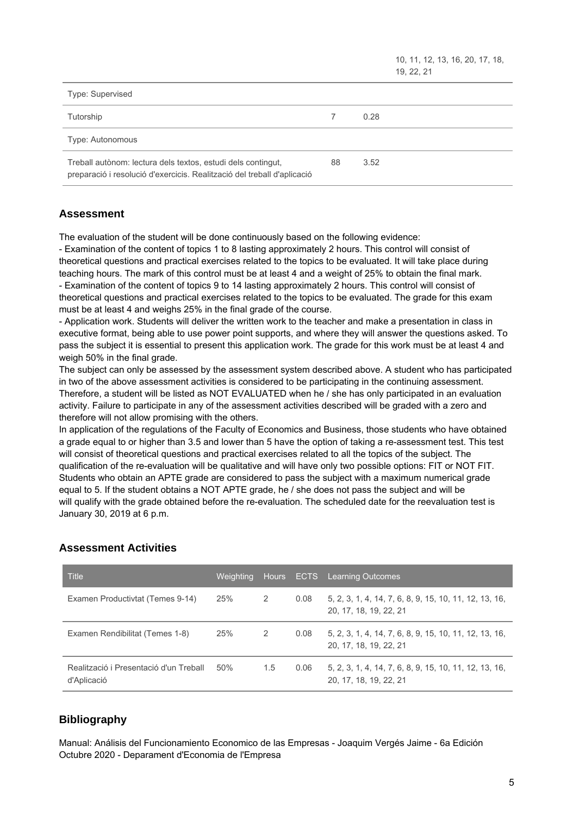10, 11, 12, 13, 16, 20, 17, 18, 19, 22, 21

| Type: Supervised                                                                                                                        |    |      |
|-----------------------------------------------------------------------------------------------------------------------------------------|----|------|
| Tutorship                                                                                                                               |    | 0.28 |
| Type: Autonomous                                                                                                                        |    |      |
| Treball autònom: lectura dels textos, estudi dels contingut,<br>preparació i resolució d'exercicis. Realització del treball d'aplicació | 88 | 3.52 |

# **Assessment**

The evaluation of the student will be done continuously based on the following evidence:

- Examination of the content of topics 1 to 8 lasting approximately 2 hours. This control will consist of theoretical questions and practical exercises related to the topics to be evaluated. It will take place during teaching hours. The mark of this control must be at least 4 and a weight of 25% to obtain the final mark. - Examination of the content of topics 9 to 14 lasting approximately 2 hours. This control will consist of theoretical questions and practical exercises related to the topics to be evaluated. The grade for this exam must be at least 4 and weighs 25% in the final grade of the course.

- Application work. Students will deliver the written work to the teacher and make a presentation in class in executive format, being able to use power point supports, and where they will answer the questions asked. To pass the subject it is essential to present this application work. The grade for this work must be at least 4 and weigh 50% in the final grade.

The subject can only be assessed by the assessment system described above. A student who has participated in two of the above assessment activities is considered to be participating in the continuing assessment. Therefore, a student will be listed as NOT EVALUATED when he / she has only participated in an evaluation activity. Failure to participate in any of the assessment activities described will be graded with a zero and therefore will not allow promising with the others.

In application of the regulations of the Faculty of Economics and Business, those students who have obtained a grade equal to or higher than 3.5 and lower than 5 have the option of taking a re-assessment test. This test will consist of theoretical questions and practical exercises related to all the topics of the subject. The qualification of the re-evaluation will be qualitative and will have only two possible options: FIT or NOT FIT. Students who obtain an APTE grade are considered to pass the subject with a maximum numerical grade equal to 5. If the student obtains a NOT APTE grade, he / she does not pass the subject and will be will qualify with the grade obtained before the re-evaluation. The scheduled date for the reevaluation test is January 30, 2019 at 6 p.m.

| <b>Title</b>                                          |     |               |      | Weighting Hours ECTS Learning Outcomes                                           |
|-------------------------------------------------------|-----|---------------|------|----------------------------------------------------------------------------------|
| Examen Productivtat (Temes 9-14)                      | 25% | 2             | 0.08 | 5, 2, 3, 1, 4, 14, 7, 6, 8, 9, 15, 10, 11, 12, 13, 16,<br>20, 17, 18, 19, 22, 21 |
| Examen Rendibilitat (Temes 1-8)                       | 25% | $\mathcal{P}$ | 0.08 | 5, 2, 3, 1, 4, 14, 7, 6, 8, 9, 15, 10, 11, 12, 13, 16,<br>20, 17, 18, 19, 22, 21 |
| Realització i Presentació d'un Treball<br>d'Aplicació | 50% | 1.5           | 0.06 | 5, 2, 3, 1, 4, 14, 7, 6, 8, 9, 15, 10, 11, 12, 13, 16,<br>20, 17, 18, 19, 22, 21 |

# **Assessment Activities**

# **Bibliography**

Manual: Análisis del Funcionamiento Economico de las Empresas - Joaquim Vergés Jaime - 6a Edición Octubre 2020 - Deparament d'Economia de l'Empresa